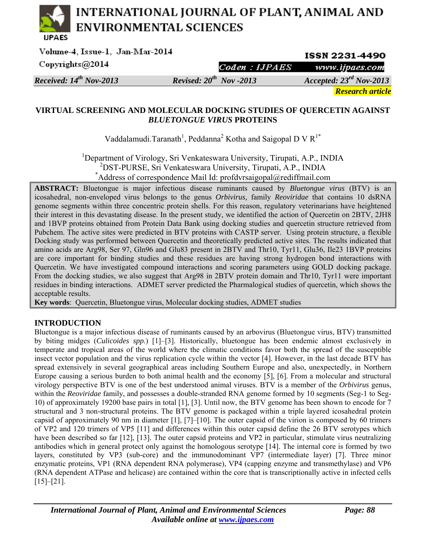# INTERNATIONAL JOURNAL OF PLANT, ANIMAL AND **ENVIRONMENTAL SCIENCES**

| Volume-4, Issue-1, Jan-Mar-2014 |                              | <b>ISSN 2231-4490</b>        |  |  |
|---------------------------------|------------------------------|------------------------------|--|--|
| Copyrights@2014                 |                              | Coden: HPAES www.ijpaes.com  |  |  |
| Received: $14^{th}$ Nov-2013    | Revised: $20^{th}$ Nov -2013 | Accepted: $23^{rd}$ Nov-2013 |  |  |
|                                 |                              | <b>Research article</b>      |  |  |

# **VIRTUAL SCREENING AND MOLECULAR DOCKING STUDIES OF QUERCETIN AGAINST**  *BLUETONGUE VIRUS* **PROTEINS**

Vaddalamudi.Taranath<sup>1</sup>, Peddanna<sup>2</sup> Kotha and Saigopal D V  $R^{1*}$ 

<sup>1</sup>Department of Virology, Sri Venkateswara University, Tirupati, A.P., INDIA <sup>2</sup>DST-PURSE, Sri Venkateswara University, Tirupati, A.P., INDIA <sup>2</sup>DST-PURSE, Sri Venkateswara University, Tirupati, A.P., INDIA  $*$ Address of correspondence Mail Id: profdvrsaigopal@rediffmail.com

**ABSTRACT:** Bluetongue is major infectious disease ruminants caused by *Bluetongue virus* (BTV) is an icosahedral, non-enveloped virus belongs to the genus *Orbivirus,* family *Reoviridae* that contains 10 dsRNA genome segments within three concentric protein shells. For this reason, regulatory veterinarians have heightened their interest in this devastating disease. In the present study, we identified the action of Quercetin on 2BTV, 2JH8 and 1BVP proteins obtained from Protein Data Bank using docking studies and quercetin structure retrieved from Pubchem. The active sites were predicted in BTV proteins with CASTP server. Using protein structure, a flexible Docking study was performed between Quercetin and theoretically predicted active sites. The results indicated that amino acids are Arg98, Ser 97, Gln96 and Glu83 present in 2BTV and Thr10, Tyr11, Glu36, Ile23 1BVP proteins are core important for binding studies and these residues are having strong hydrogen bond interactions with Quercetin. We have investigated compound interactions and scoring parameters using GOLD docking package. From the docking studies, we also suggest that Arg98 in 2BTV protein domain and Thr10, Tyr11 were important residues in binding interactions. ADMET server predicted the Pharmalogical studies of quercetin, which shows the acceptable results.

**Key words**: Quercetin, Bluetongue virus, Molecular docking studies, ADMET studies

# **INTRODUCTION**

Bluetongue is a major infectious disease of ruminants caused by an arbovirus (Bluetongue virus, BTV) transmitted by biting midges (*Culicoides spp.*) [1]–[3]. Historically, bluetongue has been endemic almost exclusively in temperate and tropical areas of the world where the climatic conditions favor both the spread of the susceptible insect vector population and the virus replication cycle within the vector [4]. However, in the last decade BTV has spread extensively in several geographical areas including Southern Europe and also, unexpectedly, in Northern Europe causing a serious burden to both animal health and the economy [5], [6]. From a molecular and structural virology perspective BTV is one of the best understood animal viruses. BTV is a member of the *Orbivirus* genus, within the *Reoviridae* family, and possesses a double-stranded RNA genome formed by 10 segments (Seg-1 to Seg-10) of approximately 19200 base pairs in total [1], [3]. Until now, the BTV genome has been shown to encode for 7 structural and 3 non-structural proteins. The BTV genome is packaged within a triple layered icosahedral protein capsid of approximately 90 nm in diameter [1], [7]–[10]. The outer capsid of the virion is composed by 60 trimers of VP2 and 120 trimers of VP5 [11] and differences within this outer capsid define the 26 BTV serotypes which have been described so far [12], [13]. The outer capsid proteins and VP2 in particular, stimulate virus neutralizing antibodies which in general protect only against the homologous serotype [14]. The internal core is formed by two layers, constituted by VP3 (sub-core) and the immunodominant VP7 (intermediate layer) [7]. Three minor enzymatic proteins, VP1 (RNA dependent RNA polymerase), VP4 (capping enzyme and transmethylase) and VP6 (RNA dependent ATPase and helicase) are contained within the core that is transcriptionally active in infected cells  $[15]$ – $[21]$ .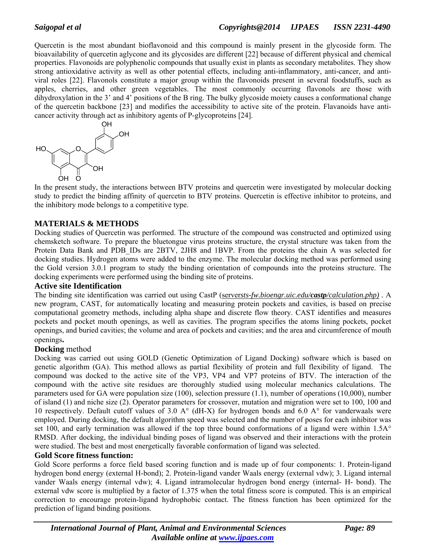Quercetin is the most abundant bioflavonoid and this compound is mainly present in the glycoside form. The bioavailability of quercetin aglycone and its glycosides are different [22] because of different physical and chemical properties. Flavonoids are polyphenolic compounds that usually exist in plants as secondary metabolites. They show strong antioxidative activity as well as other potential effects, including anti-inflammatory, anti-cancer, and antiviral roles [22]. Flavonols constitute a major group within the flavonoids present in several foodstuffs, such as apples, cherries, and other green vegetables. The most commonly occurring flavonols are those with dihydroxylation in the 3' and 4' positions of the B ring. The bulky glycoside moiety causes a conformational change of the quercetin backbone [23] and modifies the accessibility to active site of the protein. Flavanoids have anticancer activity through act as inhibitory agents of P-glycoproteins [24].



In the present study, the interactions between BTV proteins and quercetin were investigated by molecular docking study to predict the binding affinity of quercetin to BTV proteins. Quercetin is effective inhibitor to proteins, and the inhibitory mode belongs to a competitive type.

# **MATERIALS & METHODS**

Docking studies of Quercetin was performed. The structure of the compound was constructed and optimized using chemsketch software. To prepare the bluetongue virus proteins structure, the crystal structure was taken from the Protein Data Bank and PDB IDs are 2BTV, 2JH8 and 1BVP. From the proteins the chain A was selected for docking studies. Hydrogen atoms were added to the enzyme. The molecular docking method was performed using the Gold version 3.0.1 program to study the binding orientation of compounds into the proteins structure. The docking experiments were performed using the binding site of proteins.

# **Active site Identification**

The binding site identification was carried out using CastP (server*sts-fw.bioengr.uic.edu/castp/calculation.php) .* A new program, CAST, for automatically locating and measuring protein pockets and cavities, is based on precise computational geometry methods, including alpha shape and discrete flow theory. CAST identifies and measures pockets and pocket mouth openings, as well as cavities. The program specifies the atoms lining pockets, pocket openings, and buried cavities; the volume and area of pockets and cavities; and the area and circumference of mouth openings**.** 

# **Docking** method

Docking was carried out using GOLD (Genetic Optimization of Ligand Docking) software which is based on genetic algorithm (GA). This method allows as partial flexibility of protein and full flexibility of ligand. The compound was docked to the active site of the VP3, VP4 and VP7 proteins of BTV. The interaction of the compound with the active site residues are thoroughly studied using molecular mechanics calculations. The parameters used for GA were population size (100), selection pressure (1.1), number of operations (10,000), number of island (1) and niche size (2). Operator parameters for crossover, mutation and migration were set to 100, 100 and 10 respectively. Default cutoff values of 3.0 A° (dH-X) for hydrogen bonds and 6.0 A° for vanderwaals were employed. During docking, the default algorithm speed was selected and the number of poses for each inhibitor was set 100, and early termination was allowed if the top three bound conformations of a ligand were within 1.5A° RMSD. After docking, the individual binding poses of ligand was observed and their interactions with the protein were studied. The best and most energetically favorable conformation of ligand was selected.

# **Gold Score fitness function:**

Gold Score performs a force field based scoring function and is made up of four components: 1. Protein-ligand hydrogen bond energy (external H-bond); 2. Protein-ligand vander Waals energy (external vdw); 3. Ligand internal vander Waals energy (internal vdw); 4. Ligand intramolecular hydrogen bond energy (internal- H- bond). The external vdw score is multiplied by a factor of 1.375 when the total fitness score is computed. This is an empirical correction to encourage protein-ligand hydrophobic contact. The fitness function has been optimized for the prediction of ligand binding positions.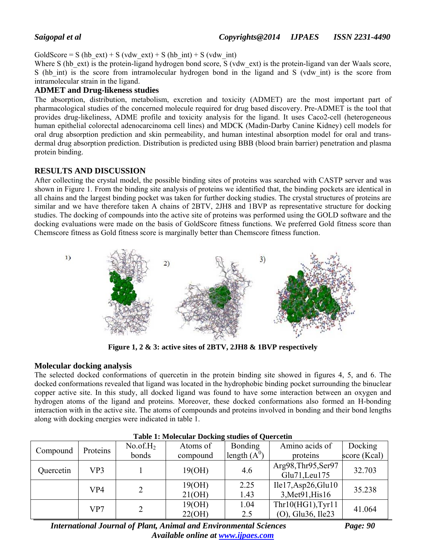GoldScore = S (hb\_ext) + S (vdw\_ext) + S (hb\_int) + S (vdw\_int)

Where S (hb ext) is the protein-ligand hydrogen bond score, S (vdw ext) is the protein-ligand van der Waals score, S (hb int) is the score from intramolecular hydrogen bond in the ligand and S (vdw int) is the score from intramolecular strain in the ligand.

#### **ADMET and Drug-likeness studies**

The absorption, distribution, metabolism, excretion and toxicity (ADMET) are the most important part of pharmacological studies of the concerned molecule required for drug based discovery. Pre-ADMET is the tool that provides drug-likeliness, ADME profile and toxicity analysis for the ligand. It uses Caco2-cell (heterogeneous human epithelial colorectal adenocarcinoma cell lines) and MDCK (Madin-Darby Canine Kidney) cell models for oral drug absorption prediction and skin permeability, and human intestinal absorption model for oral and transdermal drug absorption prediction. Distribution is predicted using BBB (blood brain barrier) penetration and plasma protein binding.

### **RESULTS AND DISCUSSION**

After collecting the crystal model, the possible binding sites of proteins was searched with CASTP server and was shown in Figure 1. From the binding site analysis of proteins we identified that, the binding pockets are identical in all chains and the largest binding pocket was taken for further docking studies. The crystal structures of proteins are similar and we have therefore taken A chains of 2BTV, 2JH8 and 1BVP as representative structure for docking studies. The docking of compounds into the active site of proteins was performed using the GOLD software and the docking evaluations were made on the basis of GoldScore fitness functions. We preferred Gold fitness score than Chemscore fitness as Gold fitness score is marginally better than Chemscore fitness function.



**Figure 1, 2 & 3: active sites of 2BTV, 2JH8 & 1BVP respectively** 

# **Molecular docking analysis**

The selected docked conformations of quercetin in the protein binding site showed in figures 4, 5, and 6. The docked conformations revealed that ligand was located in the hydrophobic binding pocket surrounding the binuclear copper active site. In this study, all docked ligand was found to have some interaction between an oxygen and hydrogen atoms of the ligand and proteins. Moreover, these docked conformations also formed an H-bonding interaction with in the active site. The atoms of compounds and proteins involved in bonding and their bond lengths along with docking energies were indicated in table 1.

| Proteins<br>Compound |                  | No. of. H <sub>2</sub> | Atoms of | Bonding           | Amino acids of      | Docking      |  |
|----------------------|------------------|------------------------|----------|-------------------|---------------------|--------------|--|
|                      |                  | bonds                  | compound | length $(A^0)$    | proteins            | score (Kcal) |  |
|                      |                  |                        |          |                   | Arg98, Thr95, Ser97 | 32.703       |  |
|                      | VP3<br>Quercetin |                        | 19(OH)   | 4.6               | Glu71, Leu175       |              |  |
|                      | VP4              |                        | 19(OH)   | 2.25              | Ile17, Asp26, Glu10 | 35.238       |  |
|                      |                  | 21(OH)                 | 1.43     | 3, Met 91, His 16 |                     |              |  |
| VP7                  |                  |                        | 19(OH)   | 1.04              | Thr10(HG1), Tyr11   | 41.064       |  |
|                      |                  | 22(OH)                 | 2.5      | (O), Glu36, Ile23 |                     |              |  |

| <b>Table 1: Molecular Docking studies of Quercetin</b> |  |  |
|--------------------------------------------------------|--|--|
|--------------------------------------------------------|--|--|

*International Journal of Plant, Animal and Environmental Sciences* Page: 90 *Available online at www.ijpaes.com*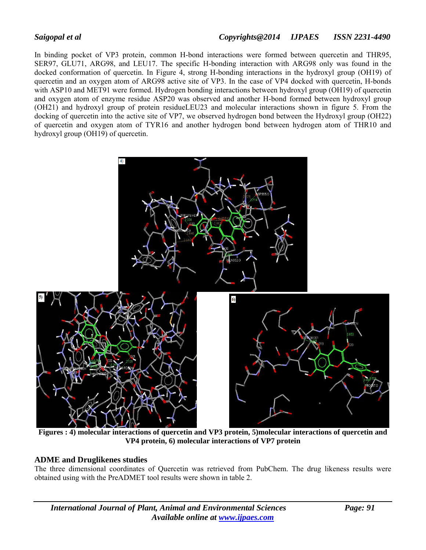In binding pocket of VP3 protein, common H-bond interactions were formed between quercetin and THR95, SER97, GLU71, ARG98, and LEU17. The specific H-bonding interaction with ARG98 only was found in the docked conformation of quercetin. In Figure 4, strong H-bonding interactions in the hydroxyl group (OH19) of quercetin and an oxygen atom of ARG98 active site of VP3. In the case of VP4 docked with quercetin, H-bonds with ASP10 and MET91 were formed. Hydrogen bonding interactions between hydroxyl group (OH19) of quercetin and oxygen atom of enzyme residue ASP20 was observed and another H-bond formed between hydroxyl group (OH21) and hydroxyl group of protein residueLEU23 and molecular interactions shown in figure 5. From the docking of quercetin into the active site of VP7, we observed hydrogen bond between the Hydroxyl group (OH22) of quercetin and oxygen atom of TYR16 and another hydrogen bond between hydrogen atom of THR10 and hydroxyl group (OH19) of quercetin.



 **Figures : 4) molecular interactions of quercetin and VP3 protein, 5)molecular interactions of quercetin and VP4 protein, 6) molecular interactions of VP7 protein** 

# **ADME and Druglikenes studies**

The three dimensional coordinates of Quercetin was retrieved from PubChem. The drug likeness results were obtained using with the PreADMET tool results were shown in table 2.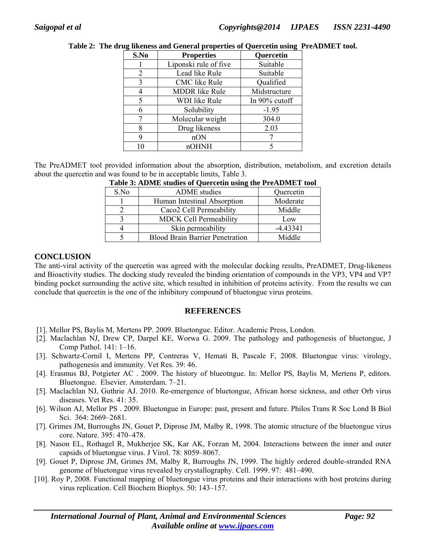| S.No | <b>Properties</b>     | <b>Quercetin</b> |
|------|-----------------------|------------------|
|      | Liponski rule of five | Suitable         |
| 2    | Lead like Rule        | Suitable         |
| 3    | CMC like Rule         | Qualified        |
| 4    | <b>MDDR</b> like Rule | Midstructure     |
| 5    | <b>WDI</b> like Rule  | In 90% cutoff    |
| 6    | Solubility            | $-1.95$          |
|      | Molecular weight      | 304.0            |
| 8    | Drug likeness         | 2.03             |
| 9    | nON                   |                  |
| 10   | nOHNH                 |                  |

|  |  |  | Table 2: The drug likeness and General properties of Quercetin using PreADMET tool. |
|--|--|--|-------------------------------------------------------------------------------------|
|  |  |  |                                                                                     |

The PreADMET tool provided information about the absorption, distribution, metabolism, and excretion details about the quercetin and was found to be in acceptable limits, Table 3.

| S.No | <b>ADME</b> studies                    | Quercetin  |
|------|----------------------------------------|------------|
|      | Human Intestinal Absorption            | Moderate   |
|      | Caco <sub>2</sub> Cell Permeability    | Middle     |
|      | <b>MDCK Cell Permeability</b>          | Low        |
|      | Skin permeability                      | $-4.43341$ |
|      | <b>Blood Brain Barrier Penetration</b> | Middle     |

|  |  | Table 3: ADME studies of Quercetin using the PreADMET tool |  |
|--|--|------------------------------------------------------------|--|
|  |  |                                                            |  |

### **CONCLUSION**

The anti-viral activity of the quercetin was agreed with the molecular docking results, PreADMET, Drug-likeness and Bioactivity studies. The docking study revealed the binding orientation of compounds in the VP3, VP4 and VP7 binding pocket surrounding the active site, which resulted in inhibition of proteins activity. From the results we can conclude that quercetin is the one of the inhibitory compound of bluetongue virus proteins.

#### **REFERENCES**

- [1]. Mellor PS, Baylis M, Mertens PP. 2009. Bluetongue. Editor. Academic Press, London.
- [2]. Maclachlan NJ, Drew CP, Darpel KE, Worwa G. 2009. The pathology and pathogenesis of bluetongue, J Comp Pathol. 141: 1–16.
- [3]. Schwartz-Cornil I, Mertens PP, Contreras V, Hemati B, Pascale F, 2008. Bluetongue virus: virology, pathogenesis and immunity. Vet Res. 39: 46.
- [4]. Erasmus BJ, Potgieter AC . 2009. The history of blueotngue. In: Mellor PS, Baylis M, Mertens P, editors. Bluetongue. Elsevier. Amsterdam. 7–21.
- [5]. Maclachlan NJ, Guthrie AJ. 2010. Re-emergence of bluetongue, African horse sickness, and other Orb virus diseases. Vet Res. 41: 35.
- [6]. Wilson AJ, Mellor PS . 2009. Bluetongue in Europe: past, present and future. Philos Trans R Soc Lond B Biol Sci. 364: 2669–2681.
- [7]. Grimes JM, Burroughs JN, Gouet P, Diprose JM, Malby R, 1998. The atomic structure of the bluetongue virus core. Nature. 395: 470–478.
- [8]. Nason EL, Rothagel R, Mukherjee SK, Kar AK, Forzan M, 2004. Interactions between the inner and outer capsids of bluetongue virus. J Virol. 78: 8059–8067.
- [9]. Gouet P, Diprose JM, Grimes JM, Malby R, Burroughs JN, 1999. The highly ordered double-stranded RNA genome of bluetongue virus revealed by crystallography. Cell. 1999. 97: 481–490.
- [10]. Roy P, 2008. Functional mapping of bluetongue virus proteins and their interactions with host proteins during virus replication. Cell Biochem Biophys. 50: 143–157.